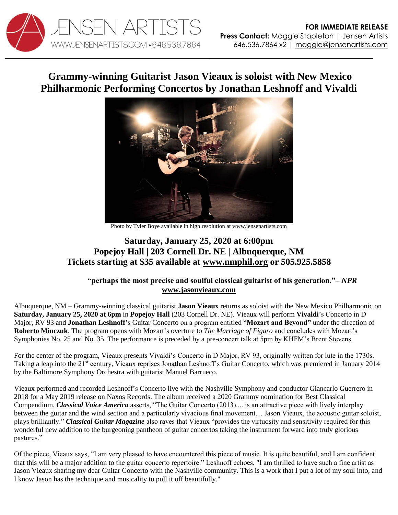

## **Grammy-winning Guitarist Jason Vieaux is soloist with New Mexico Philharmonic Performing Concertos by Jonathan Leshnoff and Vivaldi**



Photo by Tyler Boye available in high resolution a[t www.jensenartists.com](http://www.jensenartists.com/jason-vieaux)

## **Saturday, January 25, 2020 at 6:00pm Popejoy Hall | 203 Cornell Dr. NE | Albuquerque, NM Tickets starting at \$35 available at [www.nmphil.org](https://nmphil.org/event/mozart-beyond/) or 505.925.5858**

## **"perhaps the most precise and soulful classical guitarist of his generation."–** *NPR* **[www.jasonvieaux.com](http://www.jasonvieaux.com/)**

Albuquerque, NM – Grammy-winning classical guitarist **Jason Vieaux** returns as soloist with the New Mexico Philharmonic on **Saturday, January 25, 2020 at 6pm** in **Popejoy Hall** (203 Cornell Dr. NE). Vieaux will perform **Vivaldi**'s Concerto in D Major, RV 93 and **Jonathan Leshnoff**'s Guitar Concerto on a program entitled "**Mozart and Beyond"** under the direction of **Roberto Minczuk**. The program opens with Mozart's overture to *The Marriage of Figaro* and concludes with Mozart's Symphonies No. 25 and No. 35. The performance is preceded by a pre-concert talk at 5pm by KHFM's Brent Stevens.

For the center of the program, Vieaux presents Vivaldi's Concerto in D Major, RV 93, originally written for lute in the 1730s. Taking a leap into the 21<sup>st</sup> century, Vieaux reprises Jonathan Leshnoff's Guitar Concerto, which was premiered in January 2014 by the Baltimore Symphony Orchestra with guitarist Manuel Barrueco.

Vieaux performed and recorded Leshnoff's Concerto live with the Nashville Symphony and conductor Giancarlo Guerrero in 2018 for a May 2019 release on Naxos Records. The album received a 2020 Grammy nomination for Best Classical Compendium. *Classical Voice America* asserts, "The Guitar Concerto (2013).... is an attractive piece with lively interplay between the guitar and the wind section and a particularly vivacious final movement… Jason Vieaux, the acoustic guitar soloist, plays brilliantly." *Classical Guitar Magazine* also raves that Vieaux "provides the virtuosity and sensitivity required for this wonderful new addition to the burgeoning pantheon of guitar concertos taking the instrument forward into truly glorious pastures."

Of the piece, Vieaux says, "I am very pleased to have encountered this piece of music. It is quite beautiful, and I am confident that this will be a major addition to the guitar concerto repertoire." Leshnoff echoes, "I am thrilled to have such a fine artist as Jason Vieaux sharing my dear Guitar Concerto with the Nashville community. This is a work that I put a lot of my soul into, and I know Jason has the technique and musicality to pull it off beautifully."